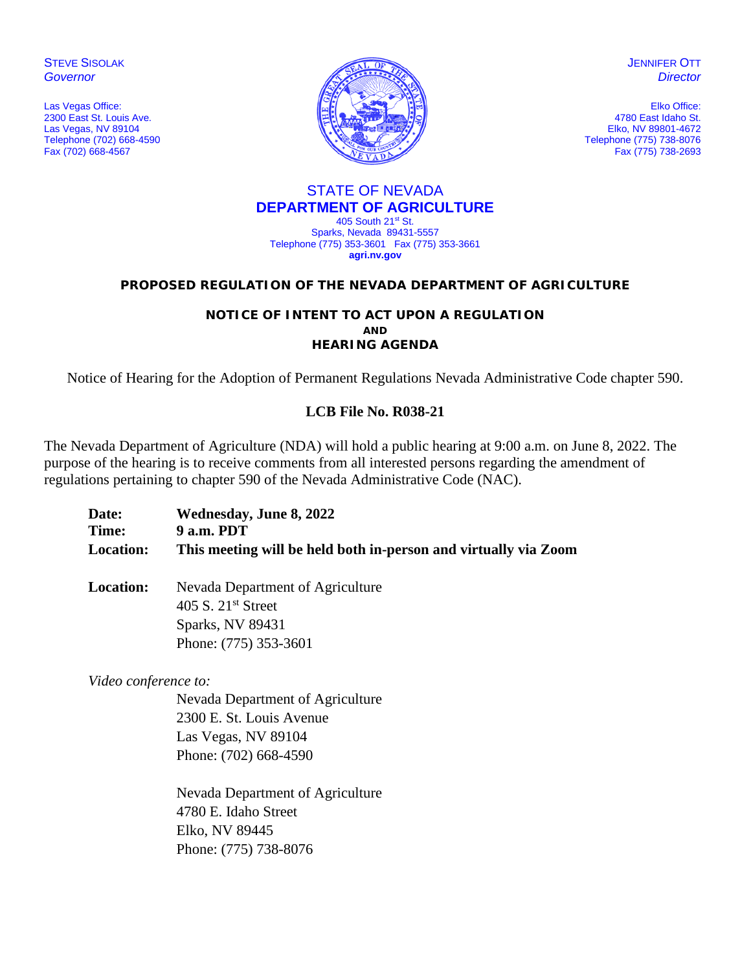**STEVE SISOLAK** *Governor*

Las Vegas Office: 2300 East St. Louis Ave. Las Vegas, NV 89104 Telephone (702) 668-4590 Fax (702) 668-4567



**JENNIFER OTT** *Director*

Elko Office: 4780 East Idaho St. Elko, NV 89801-4672 Telephone (775) 738-8076 Fax (775) 738-2693

#### STATE OF NEVADA **DEPARTMENT OF AGRICULTURE** 405 South 21st St.

Sparks, Nevada 89431-5557 Telephone (775) 353-3601 Fax (775) 353-3661 **agri.nv.gov**

#### **PROPOSED REGULATION OF THE NEVADA DEPARTMENT OF AGRICULTURE**

#### **NOTICE OF INTENT TO ACT UPON A REGULATION AND HEARING AGENDA**

Notice of Hearing for the Adoption of Permanent Regulations Nevada Administrative Code chapter 590.

## **LCB File No. R038-21**

The Nevada Department of Agriculture (NDA) will hold a public hearing at 9:00 a.m. on June 8, 2022. The purpose of the hearing is to receive comments from all interested persons regarding the amendment of regulations pertaining to chapter 590 of the Nevada Administrative Code (NAC).

| Date:            | Wednesday, June 8, 2022                                         |
|------------------|-----------------------------------------------------------------|
| Time:            | 9 a.m. PDT                                                      |
| <b>Location:</b> | This meeting will be held both in-person and virtually via Zoom |

**Location:** Nevada Department of Agriculture 405 S. 21<sup>st</sup> Street Sparks, NV 89431 Phone: (775) 353-3601

*Video conference to:* 

Nevada Department of Agriculture 2300 E. St. Louis Avenue Las Vegas, NV 89104 Phone: (702) 668-4590

Nevada Department of Agriculture 4780 E. Idaho Street Elko, NV 89445 Phone: (775) 738-8076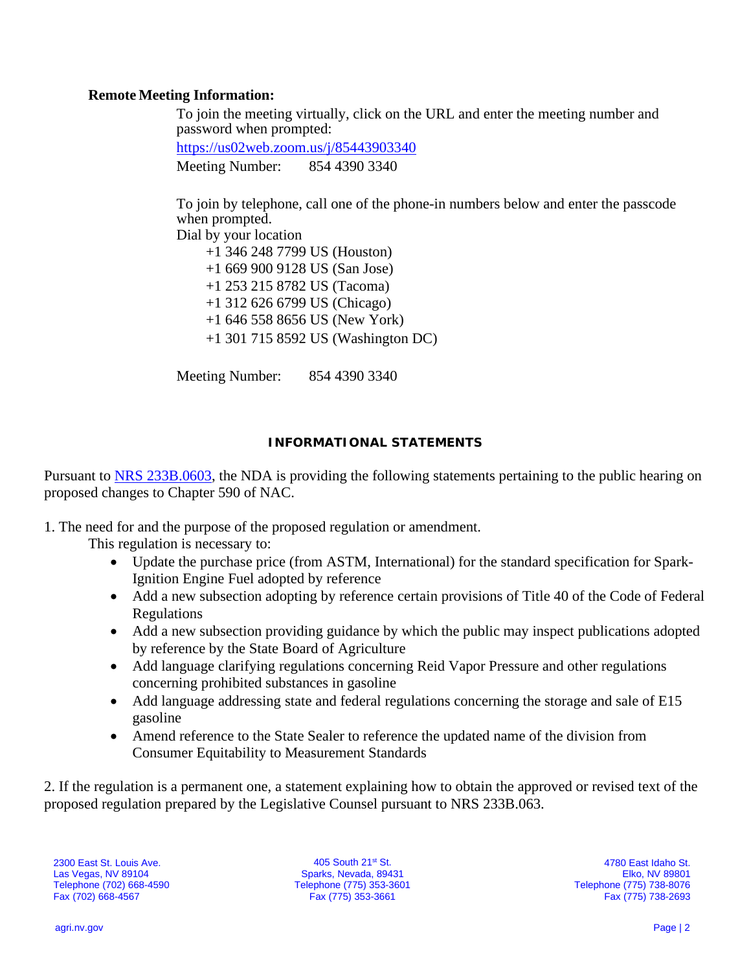### **Remote Meeting Information:**

To join the meeting virtually, click on the URL and enter the meeting number and password when prompted:

<https://us02web.zoom.us/j/85443903340> Meeting Number: 854 4390 3340

To join by telephone, call one of the phone-in numbers below and enter the passcode when prompted.

Dial by your location

 +1 346 248 7799 US (Houston) +1 669 900 9128 US (San Jose) +1 253 215 8782 US (Tacoma) +1 312 626 6799 US (Chicago) +1 646 558 8656 US (New York) +1 301 715 8592 US (Washington DC)

Meeting Number: 854 4390 3340

## **INFORMATIONAL STATEMENTS**

Pursuant to [NRS 233B.0603,](https://www.leg.state.nv.us/NRS/NRS-233B.html#NRS233BSec0603) the NDA is providing the following statements pertaining to the public hearing on proposed changes to Chapter 590 of NAC.

1. The need for and the purpose of the proposed regulation or amendment.

- This regulation is necessary to:
	- Update the purchase price (from ASTM, International) for the standard specification for Spark-Ignition Engine Fuel adopted by reference
	- Add a new subsection adopting by reference certain provisions of Title 40 of the Code of Federal Regulations
	- Add a new subsection providing guidance by which the public may inspect publications adopted by reference by the State Board of Agriculture
	- Add language clarifying regulations concerning Reid Vapor Pressure and other regulations concerning prohibited substances in gasoline
	- Add language addressing state and federal regulations concerning the storage and sale of E15 gasoline
	- Amend reference to the State Sealer to reference the updated name of the division from Consumer Equitability to Measurement Standards

2. If the regulation is a permanent one, a statement explaining how to obtain the approved or revised text of the proposed regulation prepared by the Legislative Counsel pursuant to NRS 233B.063.

2300 East St. Louis Ave. Las Vegas, NV 89104 Telephone (702) 668-4590 Fax (702) 668-4567

405 South 21st St. Sparks, Nevada, 89431 Telephone (775) 353-3601 Fax (775) 353-3661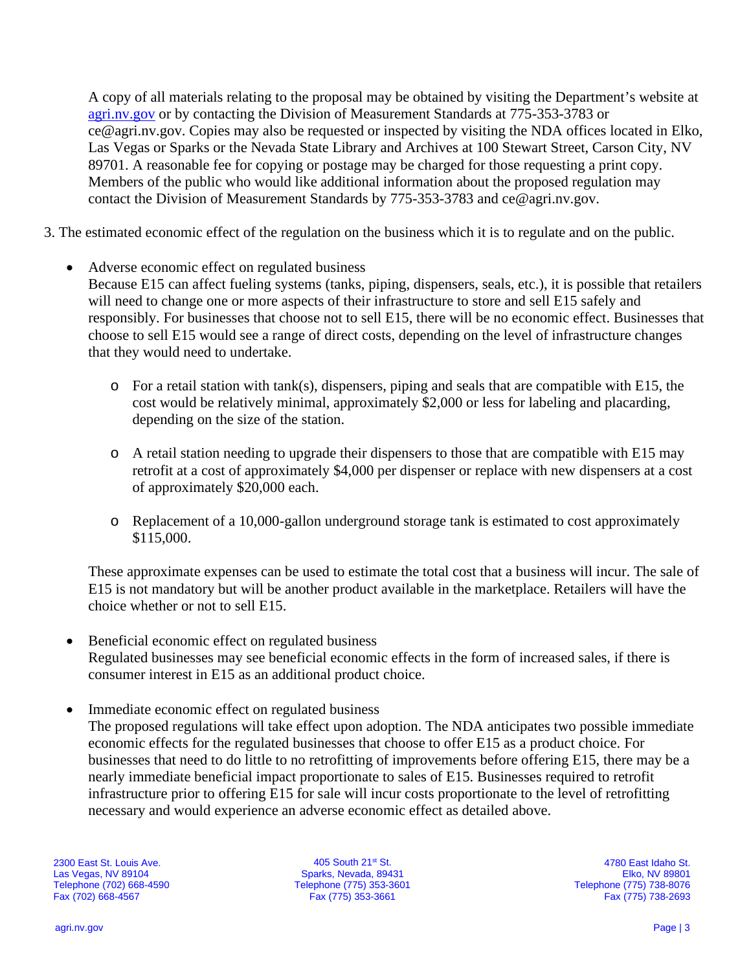A copy of all materials relating to the proposal may be obtained by visiting the Department's website at [agri.nv.gov](http://agri.nv.gov/Animals/Animal_Industries_Hearings,_Workshops,_Meetings/) or by contacting the Division of Measurement Standards at 775-353-3783 or ce@agri.nv.gov. Copies may also be requested or inspected by visiting the NDA offices located in Elko, Las Vegas or Sparks or the Nevada State Library and Archives at 100 Stewart Street, Carson City, NV 89701. A reasonable fee for copying or postage may be charged for those requesting a print copy. Members of the public who would like additional information about the proposed regulation may contact the Division of Measurement Standards by 775-353-3783 and ce@agri.nv.gov.

3. The estimated economic effect of the regulation on the business which it is to regulate and on the public.

• Adverse economic effect on regulated business

Because E15 can affect fueling systems (tanks, piping, dispensers, seals, etc.), it is possible that retailers will need to change one or more aspects of their infrastructure to store and sell E15 safely and responsibly. For businesses that choose not to sell E15, there will be no economic effect. Businesses that choose to sell E15 would see a range of direct costs, depending on the level of infrastructure changes that they would need to undertake.

- $\circ$  For a retail station with tank(s), dispensers, piping and seals that are compatible with E15, the cost would be relatively minimal, approximately \$2,000 or less for labeling and placarding, depending on the size of the station.
- o A retail station needing to upgrade their dispensers to those that are compatible with E15 may retrofit at a cost of approximately \$4,000 per dispenser or replace with new dispensers at a cost of approximately \$20,000 each.
- o Replacement of a 10,000-gallon underground storage tank is estimated to cost approximately \$115,000.

These approximate expenses can be used to estimate the total cost that a business will incur. The sale of E15 is not mandatory but will be another product available in the marketplace. Retailers will have the choice whether or not to sell E15.

- Beneficial economic effect on regulated business Regulated businesses may see beneficial economic effects in the form of increased sales, if there is consumer interest in E15 as an additional product choice.
- Immediate economic effect on regulated business
- The proposed regulations will take effect upon adoption. The NDA anticipates two possible immediate economic effects for the regulated businesses that choose to offer E15 as a product choice. For businesses that need to do little to no retrofitting of improvements before offering E15, there may be a nearly immediate beneficial impact proportionate to sales of E15. Businesses required to retrofit infrastructure prior to offering E15 for sale will incur costs proportionate to the level of retrofitting necessary and would experience an adverse economic effect as detailed above.

2300 East St. Louis Ave. Las Vegas, NV 89104 Telephone (702) 668-4590 Fax (702) 668-4567

405 South 21st St. Sparks, Nevada, 89431 Telephone (775) 353-3601 Fax (775) 353-3661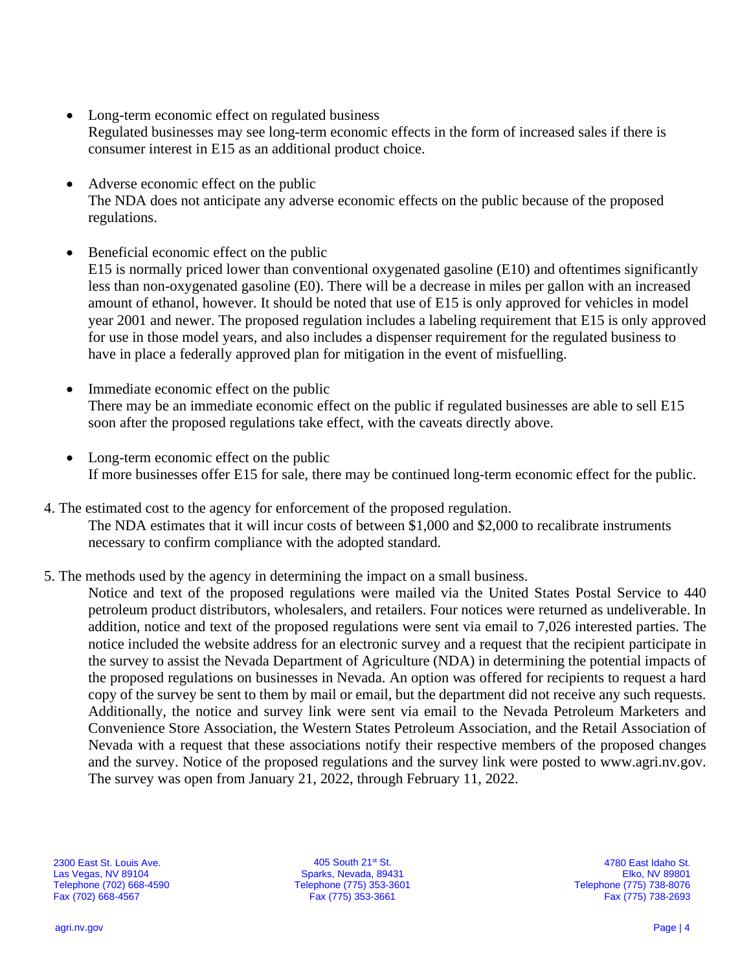- Long-term economic effect on regulated business Regulated businesses may see long-term economic effects in the form of increased sales if there is consumer interest in E15 as an additional product choice.
- Adverse economic effect on the public The NDA does not anticipate any adverse economic effects on the public because of the proposed regulations.
- Beneficial economic effect on the public E15 is normally priced lower than conventional oxygenated gasoline (E10) and oftentimes significantly less than non-oxygenated gasoline (E0). There will be a decrease in miles per gallon with an increased amount of ethanol, however. It should be noted that use of E15 is only approved for vehicles in model year 2001 and newer. The proposed regulation includes a labeling requirement that E15 is only approved for use in those model years, and also includes a dispenser requirement for the regulated business to have in place a federally approved plan for mitigation in the event of misfuelling.
- Immediate economic effect on the public There may be an immediate economic effect on the public if regulated businesses are able to sell E15 soon after the proposed regulations take effect, with the caveats directly above.
- Long-term economic effect on the public If more businesses offer E15 for sale, there may be continued long-term economic effect for the public.
- 4. The estimated cost to the agency for enforcement of the proposed regulation. The NDA estimates that it will incur costs of between \$1,000 and \$2,000 to recalibrate instruments necessary to confirm compliance with the adopted standard.
- 5. The methods used by the agency in determining the impact on a small business.

Notice and text of the proposed regulations were mailed via the United States Postal Service to 440 petroleum product distributors, wholesalers, and retailers. Four notices were returned as undeliverable. In addition, notice and text of the proposed regulations were sent via email to 7,026 interested parties. The notice included the website address for an electronic survey and a request that the recipient participate in the survey to assist the Nevada Department of Agriculture (NDA) in determining the potential impacts of the proposed regulations on businesses in Nevada. An option was offered for recipients to request a hard copy of the survey be sent to them by mail or email, but the department did not receive any such requests. Additionally, the notice and survey link were sent via email to the Nevada Petroleum Marketers and Convenience Store Association, the Western States Petroleum Association, and the Retail Association of Nevada with a request that these associations notify their respective members of the proposed changes and the survey. Notice of the proposed regulations and the survey link were posted to [www.agri.nv.gov.](http://www.agri.nv.gov/) The survey was open from January 21, 2022, through February 11, 2022.

2300 East St. Louis Ave. Las Vegas, NV 89104 Telephone (702) 668-4590 Fax (702) 668-4567

405 South 21st St. Sparks, Nevada, 89431 Telephone (775) 353-3601 Fax (775) 353-3661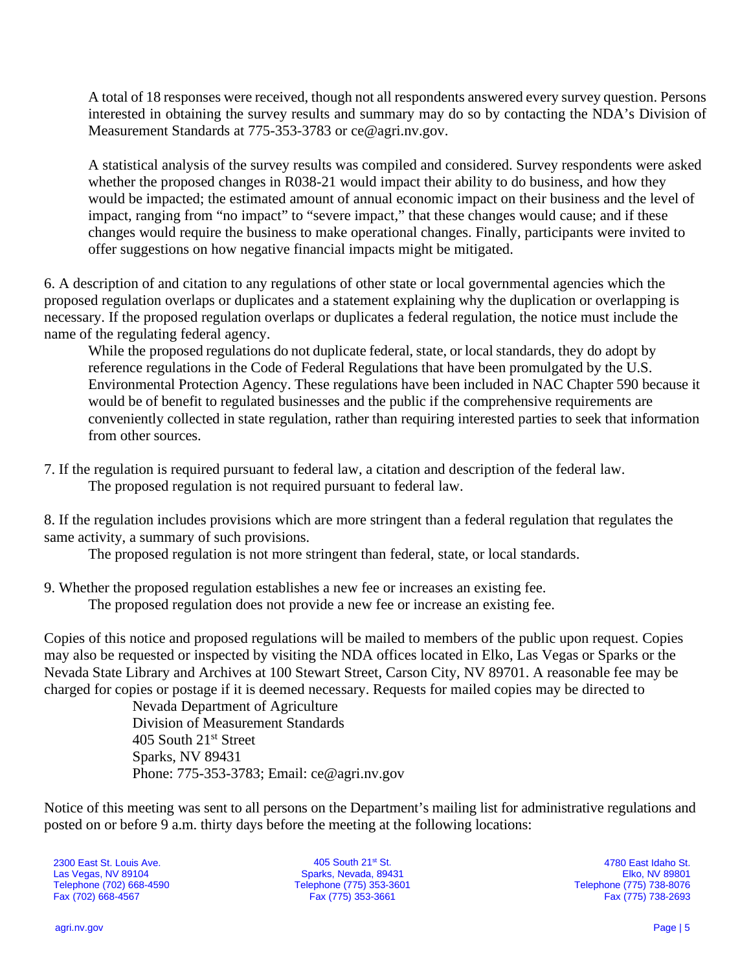A total of 18 responses were received, though not all respondents answered every survey question. Persons interested in obtaining the survey results and summary may do so by contacting the NDA's Division of Measurement Standards at 775-353-3783 or [ce@agri.nv.gov.](mailto:ce@agri.nv.gov)

A statistical analysis of the survey results was compiled and considered. Survey respondents were asked whether the proposed changes in R038-21 would impact their ability to do business, and how they would be impacted; the estimated amount of annual economic impact on their business and the level of impact, ranging from "no impact" to "severe impact," that these changes would cause; and if these changes would require the business to make operational changes. Finally, participants were invited to offer suggestions on how negative financial impacts might be mitigated.

6. A description of and citation to any regulations of other state or local governmental agencies which the proposed regulation overlaps or duplicates and a statement explaining why the duplication or overlapping is necessary. If the proposed regulation overlaps or duplicates a federal regulation, the notice must include the name of the regulating federal agency.

While the proposed regulations do not duplicate federal, state, or local standards, they do adopt by reference regulations in the Code of Federal Regulations that have been promulgated by the U.S. Environmental Protection Agency. These regulations have been included in NAC Chapter 590 because it would be of benefit to regulated businesses and the public if the comprehensive requirements are conveniently collected in state regulation, rather than requiring interested parties to seek that information from other sources.

7. If the regulation is required pursuant to federal law, a citation and description of the federal law. The proposed regulation is not required pursuant to federal law.

8. If the regulation includes provisions which are more stringent than a federal regulation that regulates the same activity, a summary of such provisions.

The proposed regulation is not more stringent than federal, state, or local standards.

9. Whether the proposed regulation establishes a new fee or increases an existing fee. The proposed regulation does not provide a new fee or increase an existing fee.

Copies of this notice and proposed regulations will be mailed to members of the public upon request. Copies may also be requested or inspected by visiting the NDA offices located in Elko, Las Vegas or Sparks or the Nevada State Library and Archives at 100 Stewart Street, Carson City, NV 89701. A reasonable fee may be charged for copies or postage if it is deemed necessary. Requests for mailed copies may be directed to

Nevada Department of Agriculture Division of Measurement Standards 405 South 21<sup>st</sup> Street Sparks, NV 89431 Phone: 775-353-3783; Email: ce@agri.nv.gov

Notice of this meeting was sent to all persons on the Department's mailing list for administrative regulations and posted on or before 9 a.m. thirty days before the meeting at the following locations:

2300 East St. Louis Ave. Las Vegas, NV 89104 Telephone (702) 668-4590 Fax (702) 668-4567

405 South 21st St. Sparks, Nevada, 89431 Telephone (775) 353-3601 Fax (775) 353-3661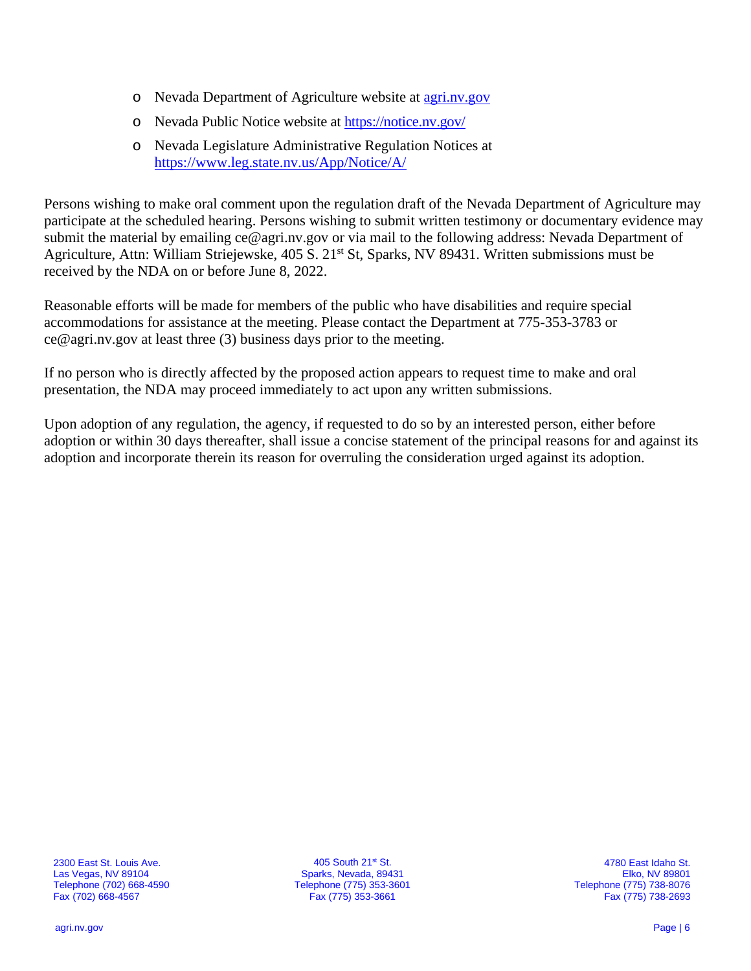- o Nevada Department of Agriculture website at [agri.nv.gov](http://agri.nv.gov/Animals/Animal_Industries_Hearings,_Workshops,_Meetings/)
- o Nevada Public Notice website at<https://notice.nv.gov/>
- o Nevada Legislature Administrative Regulation Notices at <https://www.leg.state.nv.us/App/Notice/A/>

Persons wishing to make oral comment upon the regulation draft of the Nevada Department of Agriculture may participate at the scheduled hearing. Persons wishing to submit written testimony or documentary evidence may submit the material by emailing ce@agri.nv.gov or via mail to the following address: Nevada Department of Agriculture, Attn: William Striejewske, 405 S. 21<sup>st</sup> St, Sparks, NV 89431. Written submissions must be received by the NDA on or before June 8, 2022.

Reasonable efforts will be made for members of the public who have disabilities and require special accommodations for assistance at the meeting. Please contact the Department at 775-353-3783 or ce@agri.nv.gov at least three (3) business days prior to the meeting.

If no person who is directly affected by the proposed action appears to request time to make and oral presentation, the NDA may proceed immediately to act upon any written submissions.

Upon adoption of any regulation, the agency, if requested to do so by an interested person, either before adoption or within 30 days thereafter, shall issue a concise statement of the principal reasons for and against its adoption and incorporate therein its reason for overruling the consideration urged against its adoption.

2300 East St. Louis Ave. Las Vegas, NV 89104 Telephone (702) 668-4590 Fax (702) 668-4567

405 South 21st St. Sparks, Nevada, 89431 Telephone (775) 353-3601 Fax (775) 353-3661